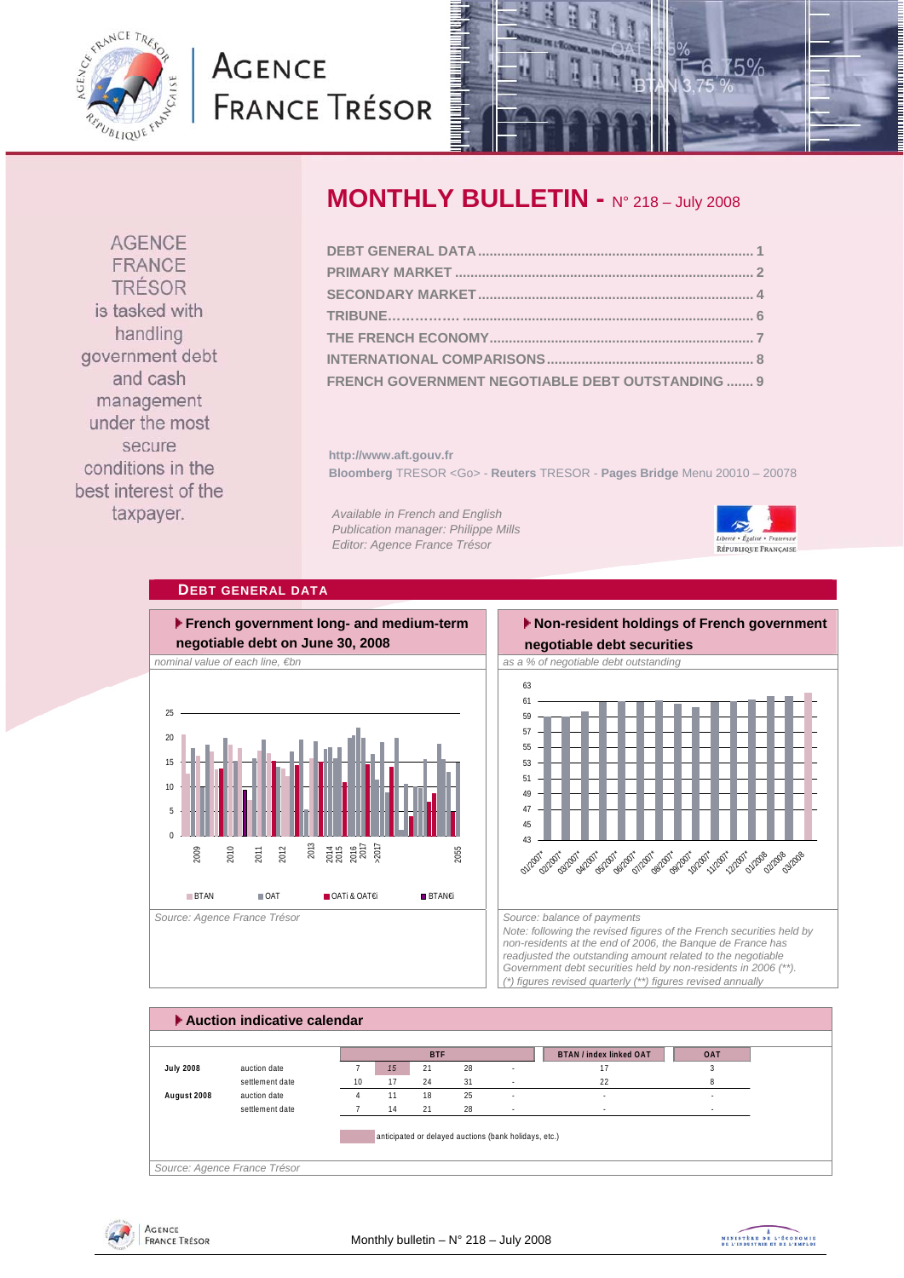<span id="page-0-0"></span>

# **AGENCE FRANCE TRÉSOR**



**AGENCE** FRANCE TRÉSOR is tasked with handling government debt and cash management under the most secure conditions in the best interest of the taxpayer.

# **MONTHLY BULLETIN - N° 218 – July 2008**

| FRENCH GOVERNMENT NEGOTIABLE DEBT OUTSTANDING  9 |  |
|--------------------------------------------------|--|

**http://www.aft.gouv.fr Bloomberg** TRESOR <Go> - **Reuters** TRESOR - **Pages Bridge** Menu 20010 – 20078

*Available in French and English Publication manager: Philippe Mills Editor: Agence France Trésor* 



# **DEBT GENERAL DATA**



# **Non-resident holdings of French government**



*Note: following the revised figures of the French securities held by non-residents at the end of 2006, the Banque de France has readjusted the outstanding amount related to the negotiable Government debt securities held by non-residents in 2006 (\*\*). (\*) figures revised quarterly (\*\*) figures revised annually* 

|                  |                 |    |    | <b>BTF</b> |    |                          | <b>BTAN / index linked OAT</b> | <b>OAT</b> |
|------------------|-----------------|----|----|------------|----|--------------------------|--------------------------------|------------|
| <b>July 2008</b> | auction date    |    | 15 | 21         | 28 | $\overline{\phantom{a}}$ | 17                             |            |
|                  | settlement date | 10 | 17 | 24         | 31 | ÷                        | 22                             |            |
| August 2008      | auction date    |    | 11 | 18         | 25 | $\overline{\phantom{a}}$ | $\sim$                         | $\sim$     |
|                  | settlement date |    | 14 | 21         | 28 | $\sim$                   |                                | $\sim$     |



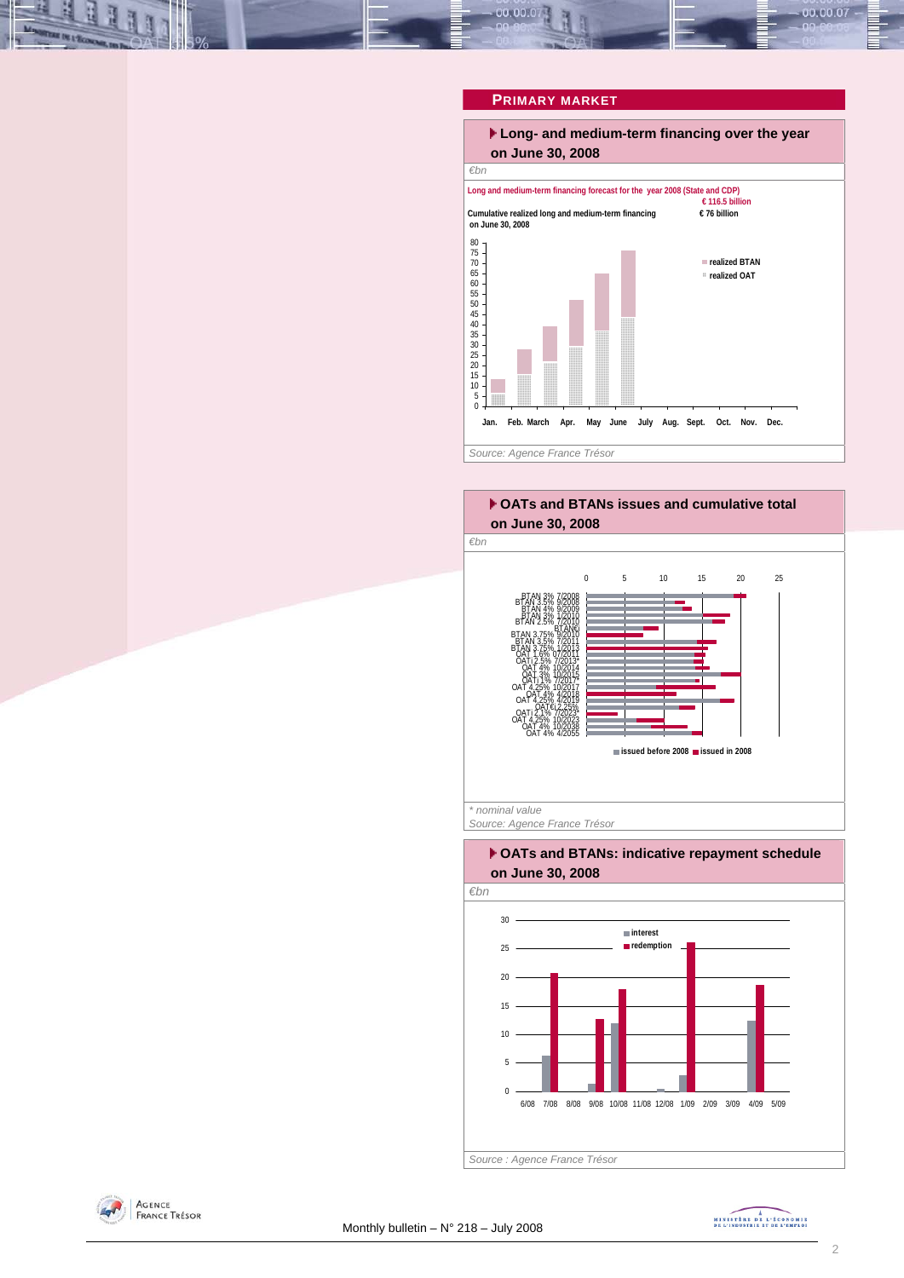# <span id="page-1-0"></span>00.00.07 00.00.0

# **PRIMARY MARKET**



### **OATs and BTANs issues and cumulative total on June 30, 2008**



*Source: Agence France Trésor* 

### **OATs and BTANs: indicative repayment schedule on June 30, 2008**





MINISTREE DE L'ÉCONOMIE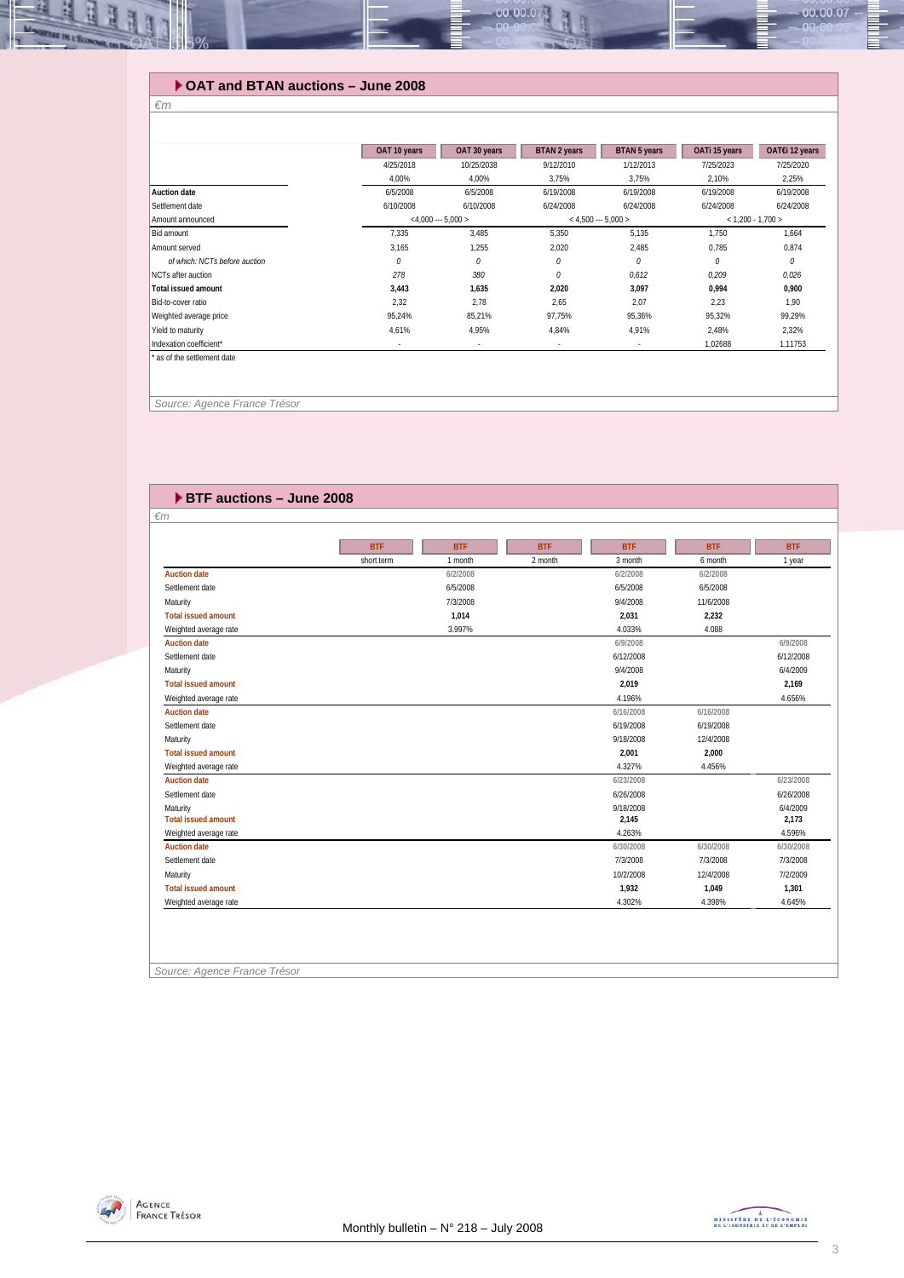# **OAT and BTAN auctions – June 2008**

| i |
|---|
|---|

ᅽ

**REGISTER** 

|                               | OAT 10 years | OAT 30 years             | <b>BTAN 2 years</b> | <b>BTAN 5 years</b>   | OATi 15 years       | OAT€i 12 years |
|-------------------------------|--------------|--------------------------|---------------------|-----------------------|---------------------|----------------|
|                               | 4/25/2018    | 10/25/2038               | 9/12/2010           | 1/12/2013             | 7/25/2023           | 7/25/2020      |
|                               | 4,00%        | 4,00%                    | 3,75%               | 3,75%                 | 2,10%               | 2,25%          |
| Auction date                  | 6/5/2008     | 6/5/2008                 | 6/19/2008           | 6/19/2008             | 6/19/2008           | 6/19/2008      |
| Settlement date               | 6/10/2008    | 6/10/2008                | 6/24/2008           | 6/24/2008             | 6/24/2008           | 6/24/2008      |
| Amount announced              |              | $<$ 4,000 --- 5,000 >    |                     | $<$ 4,500 --- 5,000 > | $< 1,200 - 1,700 >$ |                |
| Bid amount                    | 7,335        | 3,485                    | 5,350               | 5,135                 | 1,750               | 1,664          |
| Amount served                 | 3,165        | 1,255                    | 2,020               | 2,485                 | 0,785               | 0,874          |
| of which: NCTs before auction | 0            | 0                        | 0                   | 0                     | 0                   | 0              |
| NCTs after auction            | 278          | 380                      | 0                   | 0,612                 | 0,209               | 0,026          |
| <b>Total issued amount</b>    | 3,443        | 1,635                    | 2,020               | 3,097                 | 0,994               | 0,900          |
| Bid-to-cover ratio            | 2,32         | 2,78                     | 2,65                | 2,07                  | 2,23                | 1,90           |
| Weighted average price        | 95,24%       | 85,21%                   | 97,75%              | 95,36%                | 95,32%              | 99,29%         |
| Yield to maturity             | 4,61%        | 4,95%                    | 4,84%               | 4,91%                 | 2,48%               | 2,32%          |
|                               |              | $\overline{\phantom{a}}$ | $\sim$              | $\sim$                | 1,02688             | 1,11753        |

00.00.0

 *Source: Agence France Trésor* 

| <b>EXTEC auctions - June 2008</b> |            |            |            |            |            |            |
|-----------------------------------|------------|------------|------------|------------|------------|------------|
| $\epsilon$ m                      |            |            |            |            |            |            |
|                                   |            |            |            |            |            |            |
|                                   | <b>BTF</b> | <b>BTF</b> | <b>BTF</b> | <b>BTF</b> | <b>BTF</b> | <b>BTF</b> |
|                                   | short term | 1 month    | 2 month    | 3 month    | 6 month    | 1 year     |
| <b>Auction date</b>               |            | 6/2/2008   |            | 6/2/2008   | 6/2/2008   |            |
| Settlement date                   |            | 6/5/2008   |            | 6/5/2008   | 6/5/2008   |            |
| Maturity                          |            | 7/3/2008   |            | 9/4/2008   | 11/6/2008  |            |
| <b>Total issued amount</b>        |            | 1,014      |            | 2,031      | 2,232      |            |
| Weighted average rate             |            | 3.997%     |            | 4.033%     | 4.088      |            |
| <b>Auction date</b>               |            |            |            | 6/9/2008   |            | 6/9/2008   |
| Settlement date                   |            |            |            | 6/12/2008  |            | 6/12/2008  |
| Maturity                          |            |            |            | 9/4/2008   |            | 6/4/2009   |
| <b>Total issued amount</b>        |            |            |            | 2,019      |            | 2,169      |
| Weighted average rate             |            |            |            | 4.196%     |            | 4.656%     |
| <b>Auction date</b>               |            |            |            | 6/16/2008  | 6/16/2008  |            |
| Settlement date                   |            |            |            | 6/19/2008  | 6/19/2008  |            |
| Maturity                          |            |            |            | 9/18/2008  | 12/4/2008  |            |
| <b>Total issued amount</b>        |            |            |            | 2,001      | 2,000      |            |
| Weighted average rate             |            |            |            | 4.327%     | 4.456%     |            |
| <b>Auction date</b>               |            |            |            | 6/23/2008  |            | 6/23/2008  |
| Settlement date                   |            |            |            | 6/26/2008  |            | 6/26/2008  |
| Maturity                          |            |            |            | 9/18/2008  |            | 6/4/2009   |
| <b>Total issued amount</b>        |            |            |            | 2,145      |            | 2,173      |
| Weighted average rate             |            |            |            | 4.263%     |            | 4.596%     |
| <b>Auction date</b>               |            |            |            | 6/30/2008  | 6/30/2008  | 6/30/2008  |
| Settlement date                   |            |            |            | 7/3/2008   | 7/3/2008   | 7/3/2008   |
| Maturity                          |            |            |            | 10/2/2008  | 12/4/2008  | 7/2/2009   |
| <b>Total issued amount</b>        |            |            |            | 1,932      | 1,049      | 1,301      |
| Weighted average rate             |            |            |            | 4.302%     | 4.398%     | 4.645%     |

#### *Source: Agence France Trésor*



 $-00.00.07$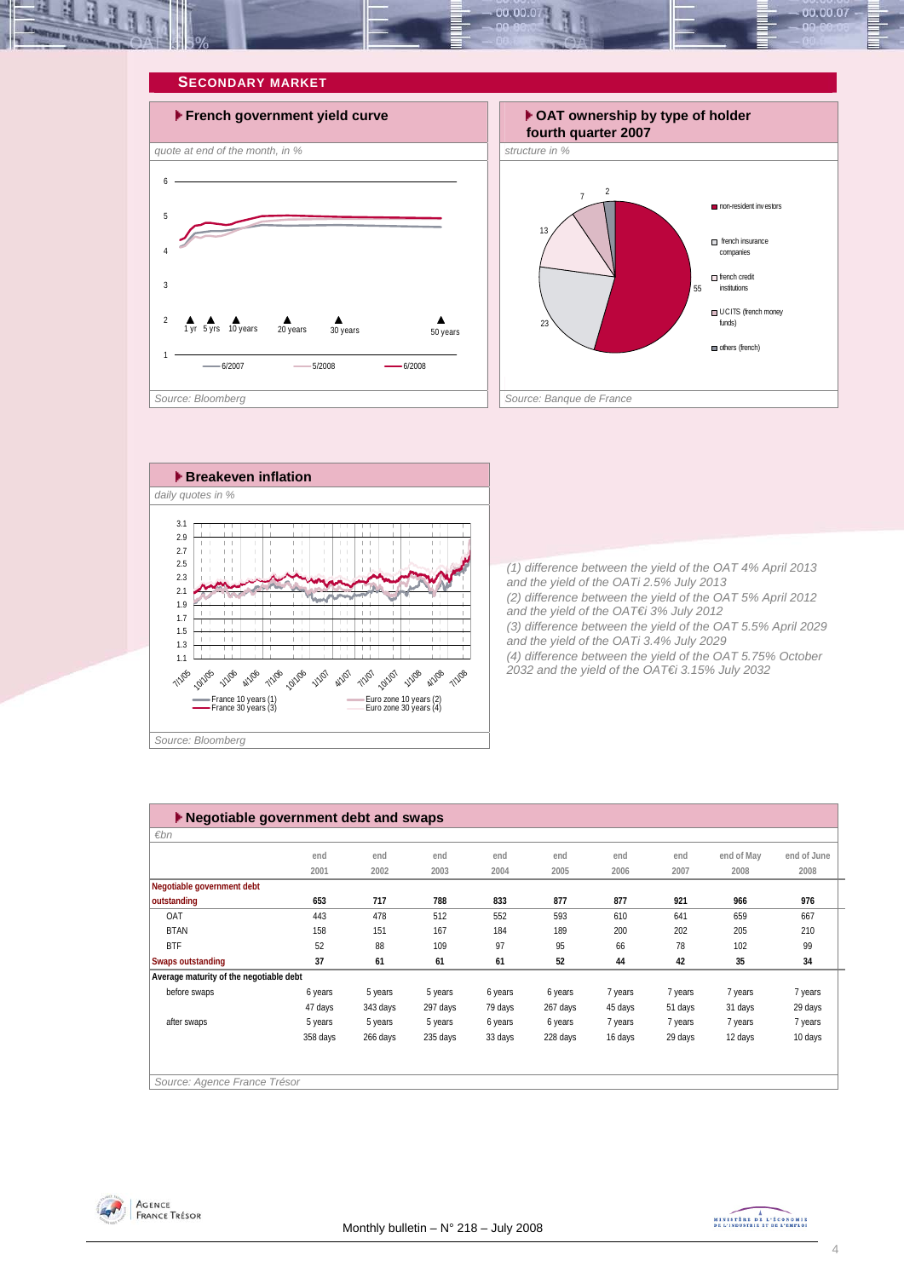<span id="page-3-0"></span>







*(1) difference between the yield of the OAT 4% April 2013 and the yield of the OATi 2.5% July 2013 (2) difference between the yield of the OAT 5% April 2012 and the yield of the OAT€i 3% July 2012 (3) difference between the yield of the OAT 5.5% April 2029 and the yield of the OATi 3.4% July 2029 (4) difference between the yield of the OAT 5.75% October 2032 and the yield of the OAT€i 3.15% July 2032* 

| ▶ Negotiable government debt and swaps  |          |          |          |         |          |         |         |            |             |
|-----------------------------------------|----------|----------|----------|---------|----------|---------|---------|------------|-------------|
| $\varepsilon$ bn                        |          |          |          |         |          |         |         |            |             |
|                                         | end      | end      | end      | end     | end      | end     | end     | end of May | end of June |
|                                         | 2001     | 2002     | 2003     | 2004    | 2005     | 2006    | 2007    | 2008       | 2008        |
| Negotiable government debt              |          |          |          |         |          |         |         |            |             |
| outstanding                             | 653      | 717      | 788      | 833     | 877      | 877     | 921     | 966        | 976         |
| OAT                                     | 443      | 478      | 512      | 552     | 593      | 610     | 641     | 659        | 667         |
| <b>BTAN</b>                             | 158      | 151      | 167      | 184     | 189      | 200     | 202     | 205        | 210         |
| <b>BTF</b>                              | 52       | 88       | 109      | 97      | 95       | 66      | 78      | 102        | 99          |
| <b>Swaps outstanding</b>                | 37       | 61       | 61       | 61      | 52       | 44      | 42      | 35         | 34          |
| Average maturity of the negotiable debt |          |          |          |         |          |         |         |            |             |
| before swaps                            | 6 years  | 5 years  | 5 years  | 6 years | 6 years  | 7 years | 7 years | 7 years    | 7 years     |
|                                         | 47 days  | 343 days | 297 days | 79 days | 267 days | 45 days | 51 days | 31 days    | 29 days     |
| after swaps                             | 5 years  | 5 years  | 5 years  | 6 years | 6 years  | 7 years | 7 years | 7 years    | 7 years     |
|                                         | 358 days | 266 days | 235 days | 33 days | 228 days | 16 days | 29 days | 12 days    | 10 days     |
|                                         |          |          |          |         |          |         |         |            |             |
|                                         |          |          |          |         |          |         |         |            |             |
| Source: Agence France Trésor            |          |          |          |         |          |         |         |            |             |



MINISTRE DE L'ÉCONOMIE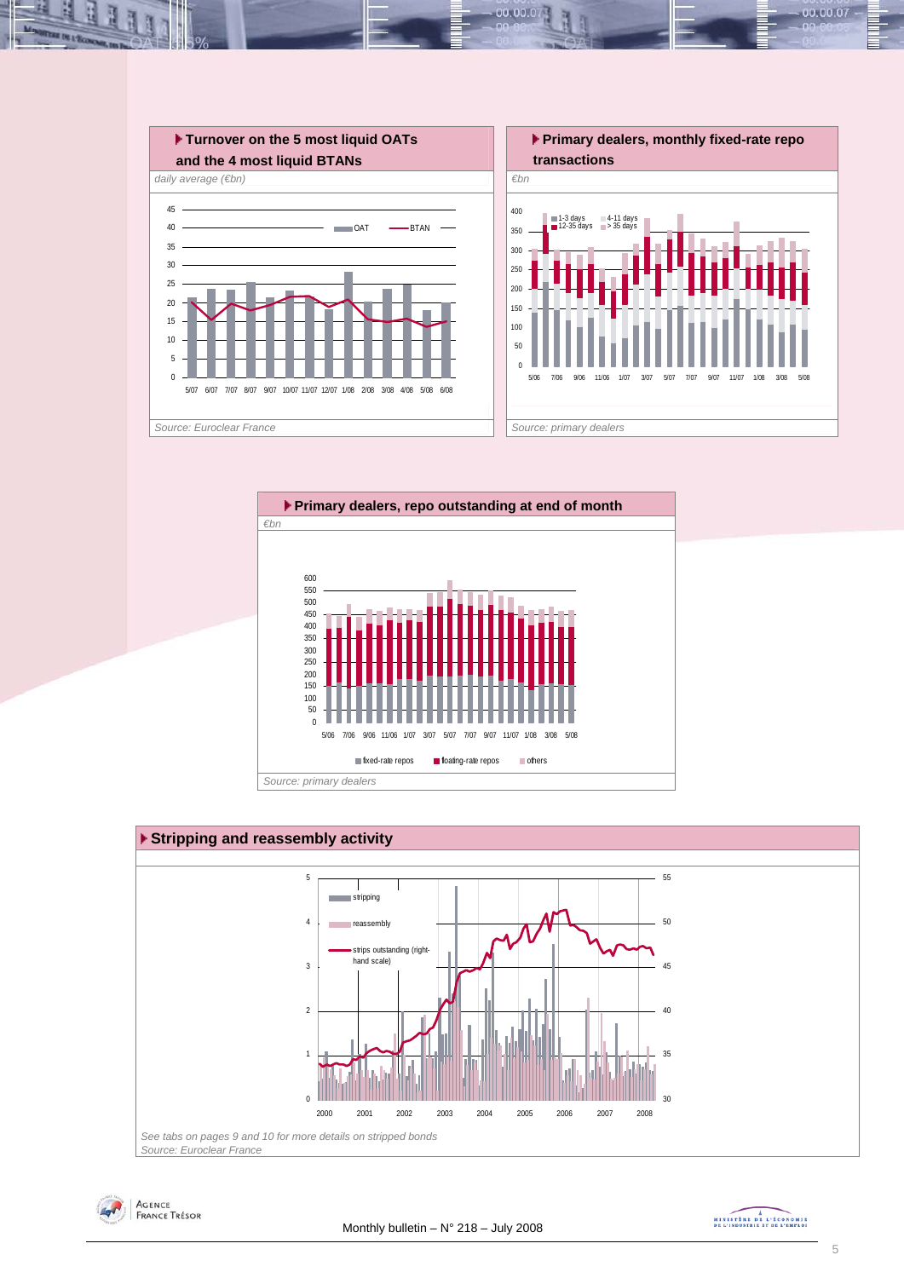

00.001







MINISTRE DE L'ÉCONOMIE

00.00.07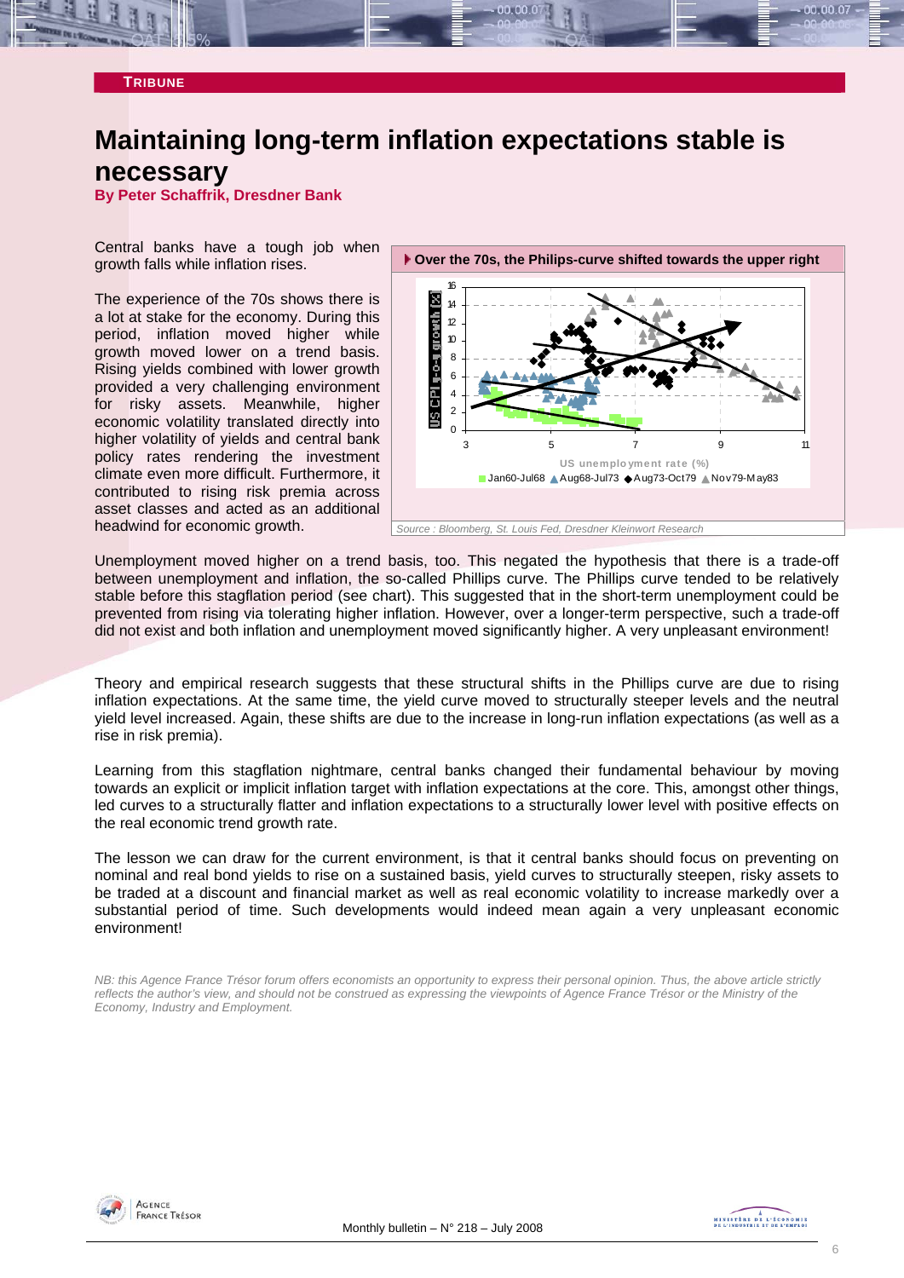<span id="page-5-0"></span>

# **Maintaining long-term inflation expectations stable is necessary**

**By Peter Schaffrik, Dresdner Bank** 

Central banks have a tough job when growth falls while inflation rises.

The experience of the 70s shows there is a lot at stake for the economy. During this period, inflation moved higher while growth moved lower on a trend basis. Rising yields combined with lower growth provided a very challenging environment for risky assets. Meanwhile, higher economic volatility translated directly into higher volatility of yields and central bank policy rates rendering the investment climate even more difficult. Furthermore, it contributed to rising risk premia across asset classes and acted as an additional headwind for economic growth.



Unemployment moved higher on a trend basis, too. This negated the hypothesis that there is a trade-off between unemployment and inflation, the so-called Phillips curve. The Phillips curve tended to be relatively stable before this stagflation period (see chart). This suggested that in the short-term unemployment could be prevented from rising via tolerating higher inflation. However, over a longer-term perspective, such a trade-off did not exist and both inflation and unemployment moved significantly higher. A very unpleasant environment!

Theory and empirical research suggests that these structural shifts in the Phillips curve are due to rising inflation expectations. At the same time, the yield curve moved to structurally steeper levels and the neutral yield level increased. Again, these shifts are due to the increase in long-run inflation expectations (as well as a rise in risk premia).

Learning from this stagflation nightmare, central banks changed their fundamental behaviour by moving towards an explicit or implicit inflation target with inflation expectations at the core. This, amongst other things, led curves to a structurally flatter and inflation expectations to a structurally lower level with positive effects on the real economic trend growth rate.

The lesson we can draw for the current environment, is that it central banks should focus on preventing on nominal and real bond yields to rise on a sustained basis, yield curves to structurally steepen, risky assets to be traded at a discount and financial market as well as real economic volatility to increase markedly over a substantial period of time. Such developments would indeed mean again a very unpleasant economic environment!

*NB: this Agence France Trésor forum offers economists an opportunity to express their personal opinion. Thus, the above article strictly reflects the author's view, and should not be construed as expressing the viewpoints of Agence France Trésor or the Ministry of the Economy, Industry and Employment.* 



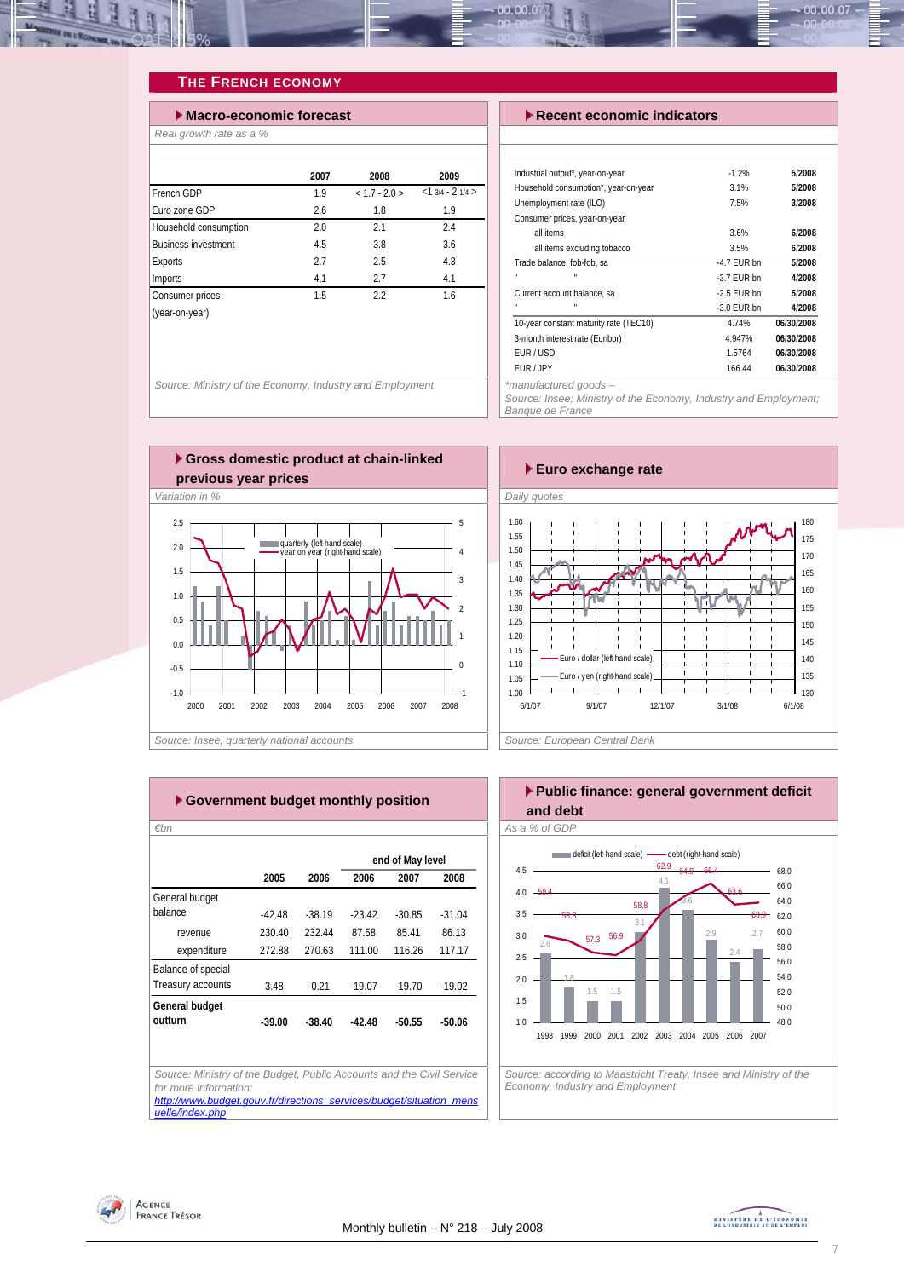<span id="page-6-0"></span>

### **THE FRENCH ECONOMY**

| $\blacktriangleright$ Macro-economic forecast |      |               |                  |  |  |  |  |  |  |
|-----------------------------------------------|------|---------------|------------------|--|--|--|--|--|--|
| Real growth rate as a %                       |      |               |                  |  |  |  |  |  |  |
|                                               |      |               |                  |  |  |  |  |  |  |
|                                               | 2007 | 2008          | 2009             |  |  |  |  |  |  |
| French GDP                                    | 1.9  | $< 1.7 - 2.0$ | $<13/4 - 21/4 >$ |  |  |  |  |  |  |
| Furo zone GDP                                 | 2.6  | 1.8           | 1.9              |  |  |  |  |  |  |
| Household consumption                         | 2.0  | 2.1           | 2.4              |  |  |  |  |  |  |
| <b>Business investment</b>                    | 4.5  | 3.8           | 3.6              |  |  |  |  |  |  |
| Exports                                       | 2.7  | 2.5           | 4.3              |  |  |  |  |  |  |
| Imports                                       | 4.1  | 2.7           | 4.1              |  |  |  |  |  |  |
| Consumer prices                               | 1.5  | 2.2           | 1.6              |  |  |  |  |  |  |
| (year-on-year)                                |      |               |                  |  |  |  |  |  |  |
|                                               |      |               |                  |  |  |  |  |  |  |
|                                               |      |               |                  |  |  |  |  |  |  |

*Source: Ministry of the Economy, Industry and Employment* 

#### **Execent economic indicators**

| $-1.2%$       | 5/2008     |
|---------------|------------|
| 3.1%          | 5/2008     |
| 7.5%          | 3/2008     |
|               |            |
| 3.6%          | 6/2008     |
| 3.5%          | 6/2008     |
| $-4.7$ FUR bn | 5/2008     |
| $-3.7$ FUR bn | 4/2008     |
| $-2.5$ FUR bn | 5/2008     |
| $-3.0$ EUR bn | 4/2008     |
| 4.74%         | 06/30/2008 |
| 4.947%        | 06/30/2008 |
| 1.5764        | 06/30/2008 |
| 166.44        | 06/30/2008 |
|               |            |

 $00.00.07$ 

*\*manufactured goods –* 

*Source: Insee; Ministry of the Economy, Industry and Employment; Banque de France* 





|                    |          |          |          | end of May level |          |
|--------------------|----------|----------|----------|------------------|----------|
|                    | 2005     | 2006     | 2006     | 2007             | 2008     |
| General budget     |          |          |          |                  |          |
| balance            | $-42.48$ | $-38.19$ | $-23.42$ | $-30.85$         | $-31.04$ |
| revenue            | 230.40   | 232.44   | 87.58    | 85.41            | 86.13    |
| expenditure        | 272.88   | 270.63   | 111.00   | 116.26           | 117.17   |
| Balance of special |          |          |          |                  |          |
| Treasury accounts  | 3.48     | $-0.21$  | $-19.07$ | $-19.70$         | $-19.02$ |
| General budget     |          |          |          |                  |          |
| outturn            | $-39.00$ | $-38.40$ | -42.48   | $-50.55$         | $-50.06$ |
|                    |          |          |          |                  |          |
|                    |          |          |          |                  |          |

**Public finance: general government deficit and debt**  *€bn As a % of GDP*  2.6 1.8 1.5 1.5 3.1 3.6 2.7 2.4  $2<sub>q</sub>$ 4.1 57.3 63,9 63.6 64.9 66.4 59.4 58.8 56.9 58.8 62.9 1.0 1.5 2.0 2.5 3.0 3.5 4.0 4.5 1998 1999 2000 2001 2002 2003 2004 2005 2006 2007 48.0 50.0 52.0 54.0 56.0 58.0 60.0 62.0 64.0 66.0 68.0 deficit (left-hand scale) - debt (right-hand scale)

*Source: according to Maastricht Treaty, Insee and Ministry of the Economy, Industry and Employment* 

**previous year prices** *Euro exchange rate Euro exchange rate* 

# Agence<br>France Trésor

*[uelle/index.php](http://www.budget.gouv.fr/directions_services/budget/situation_mensuelle/index.php)*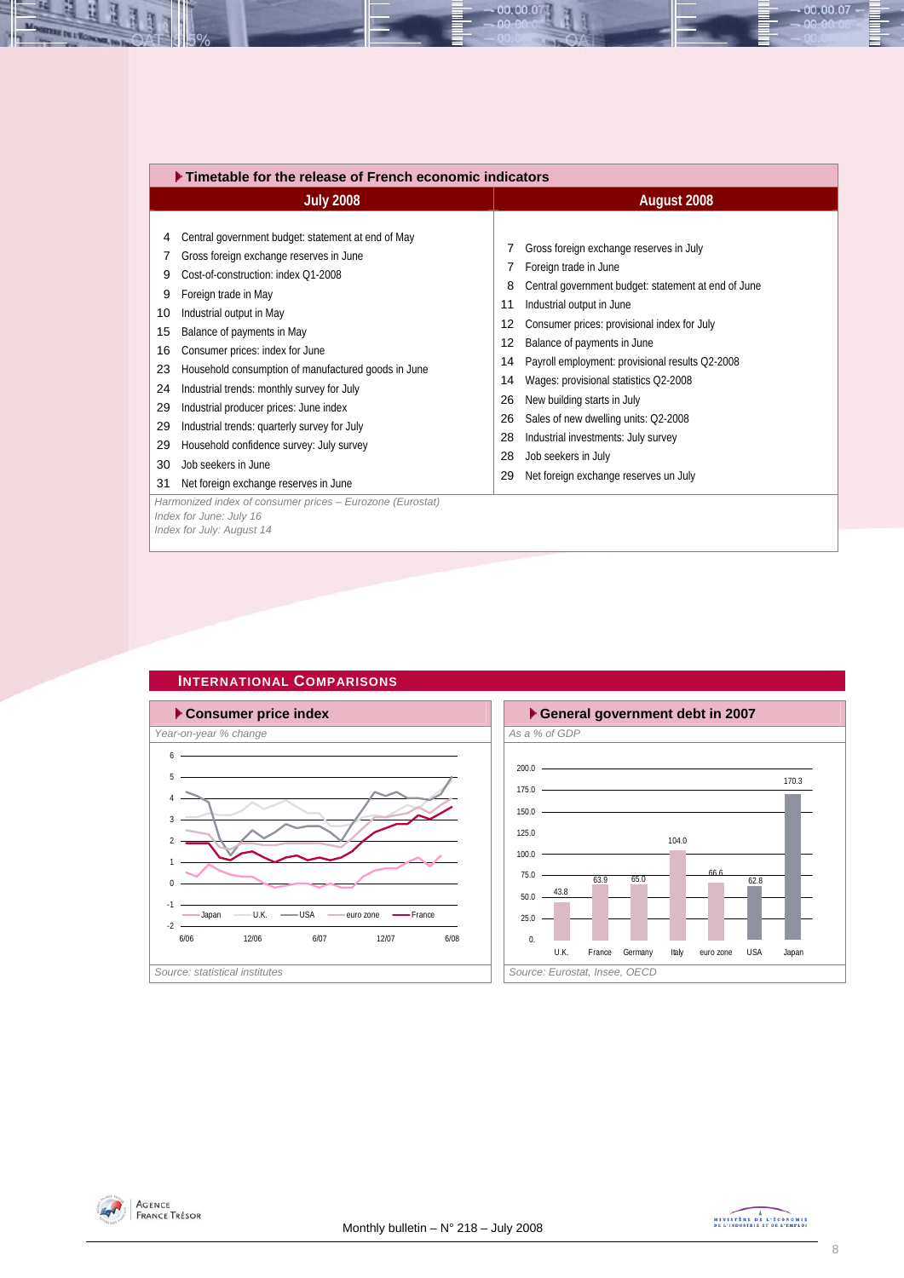<span id="page-7-0"></span>

| $\blacktriangleright$ Timetable for the release of French economic indicators                                                                                                                                                                                                                                                                                                                                                                                                                                                                                                                                                                        |                                                                                                                                                                                                                                                                                                                                                                                                                                                                                                                                                                                    |  |  |  |  |  |  |  |
|------------------------------------------------------------------------------------------------------------------------------------------------------------------------------------------------------------------------------------------------------------------------------------------------------------------------------------------------------------------------------------------------------------------------------------------------------------------------------------------------------------------------------------------------------------------------------------------------------------------------------------------------------|------------------------------------------------------------------------------------------------------------------------------------------------------------------------------------------------------------------------------------------------------------------------------------------------------------------------------------------------------------------------------------------------------------------------------------------------------------------------------------------------------------------------------------------------------------------------------------|--|--|--|--|--|--|--|
| <b>July 2008</b>                                                                                                                                                                                                                                                                                                                                                                                                                                                                                                                                                                                                                                     | August 2008                                                                                                                                                                                                                                                                                                                                                                                                                                                                                                                                                                        |  |  |  |  |  |  |  |
| Central government budget: statement at end of May<br>4<br>Gross foreign exchange reserves in June<br>7<br>Cost-of-construction: index Q1-2008<br>9<br>Foreign trade in May<br>9<br>Industrial output in May<br>10<br>Balance of payments in May<br>15<br>16<br>Consumer prices: index for June<br>Household consumption of manufactured goods in June<br>23<br>Industrial trends: monthly survey for July<br>24<br>Industrial producer prices: June index<br>29<br>Industrial trends: quarterly survey for July<br>29<br>Household confidence survey: July survey<br>29<br>Job seekers in June<br>30<br>Net foreign exchange reserves in June<br>31 | Gross foreign exchange reserves in July<br>7<br>Foreign trade in June<br>Central government budget: statement at end of June<br>8<br>Industrial output in June<br>11<br>Consumer prices: provisional index for July<br>12<br>Balance of payments in June<br>12<br>Payroll employment: provisional results Q2-2008<br>14<br>Wages: provisional statistics Q2-2008<br>14<br>New building starts in July<br>26<br>Sales of new dwelling units: Q2-2008<br>26<br>Industrial investments: July survey<br>28<br>Job seekers in July<br>28<br>Net foreign exchange reserves un July<br>29 |  |  |  |  |  |  |  |
| Harmonized index of consumer prices - Eurozone (Eurostat)<br>Index for June: July 16<br>Index for July: August 14                                                                                                                                                                                                                                                                                                                                                                                                                                                                                                                                    |                                                                                                                                                                                                                                                                                                                                                                                                                                                                                                                                                                                    |  |  |  |  |  |  |  |

00.00.07



**INTERNATIONAL COMPARISONS** 

### 200.0 104.0 66.6 43.8 63.9 65.0 62.8 170.3 0. 25.0 50.0 75.0 100.0  $125.0 -$ 150.0 175.0 U.K. France Germany Italy euro zone USA Japan





 $00.00.07$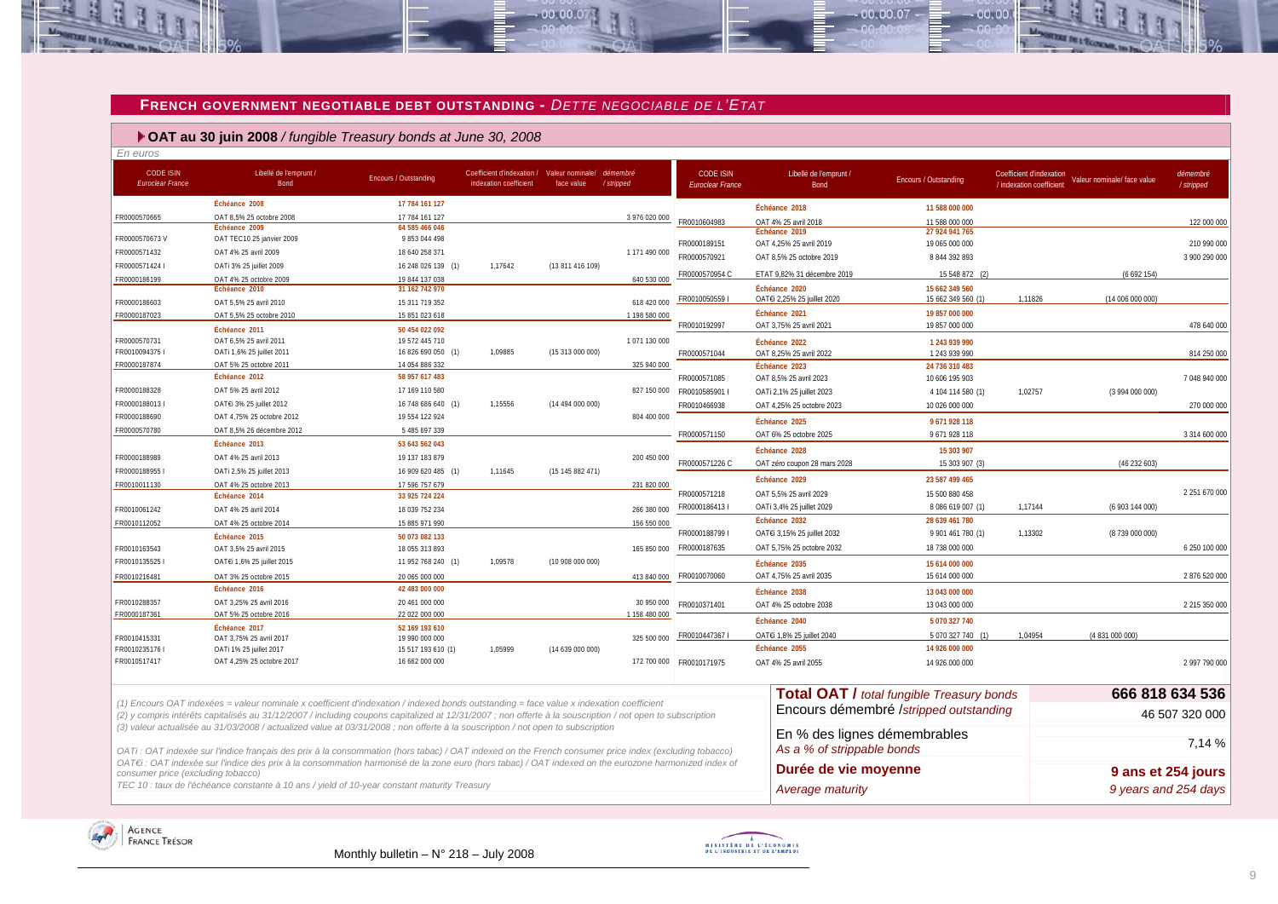#### **FRENCH GOVERNMENT NEGOTIABLE DEBT OUTSTANDING -** *DETTE NEGOCIABLE DE L'ETAT*

 $-00.00.07$ 

# **OAT au 30 juin 2008** */ fungible Treasury bonds at June 30, 2008*

| En euros                                    |                                                                                                                                                                                                                                                                                                      |                                  |                                                                                |                  |               |                                             |                                |                                                  |                                                                                     |                       |
|---------------------------------------------|------------------------------------------------------------------------------------------------------------------------------------------------------------------------------------------------------------------------------------------------------------------------------------------------------|----------------------------------|--------------------------------------------------------------------------------|------------------|---------------|---------------------------------------------|--------------------------------|--------------------------------------------------|-------------------------------------------------------------------------------------|-----------------------|
| <b>CODE ISIN</b><br><b>Euroclear France</b> | Libellé de l'emprunt /<br>Bond                                                                                                                                                                                                                                                                       | Encours / Outstanding            | Coefficient d'indexation / Valeur nominale/ démembre<br>indexation coefficient | face value       | /stripped     | <b>CODE ISIN</b><br><b>Euroclear France</b> | Libellé de l'emprunt /<br>Bond | Encours / Outstanding                            | Coefficient d'indexation<br>Valeur nominale/ face value<br>/ indexation coefficient | démembré<br>/stripped |
|                                             | Échéance 2008                                                                                                                                                                                                                                                                                        | 17 784 161 127                   |                                                                                |                  |               |                                             | Échéance 2018                  | 11 588 000 000                                   |                                                                                     |                       |
| FR0000570665                                | OAT 8,5% 25 octobre 2008                                                                                                                                                                                                                                                                             | 17 784 161 127                   |                                                                                |                  | 3 976 020 000 | FR0010604983                                | OAT 4% 25 avril 2018           | 11 588 000 000                                   |                                                                                     | 122 000 000           |
|                                             | Échéance 2009                                                                                                                                                                                                                                                                                        | 64 585 466 046                   |                                                                                |                  |               |                                             | Échéance 2019                  | 27 924 941 765                                   |                                                                                     |                       |
| FR0000570673V                               | OAT TEC10 25 janvier 2009                                                                                                                                                                                                                                                                            | 9 853 044 498                    |                                                                                |                  |               | FR0000189151                                | OAT 4,25% 25 avril 2019        | 19 065 000 000                                   |                                                                                     | 210 990 000           |
| FR0000571432                                | OAT 4% 25 avril 2009                                                                                                                                                                                                                                                                                 | 18 640 258 371                   |                                                                                |                  | 1 171 490 000 | FR0000570921                                | OAT 8,5% 25 octobre 2019       | 8 844 392 893                                    |                                                                                     | 3 900 290 000         |
| FR0000571424 I                              | OATi 3% 25 juillet 2009                                                                                                                                                                                                                                                                              | 16 248 026 139 (1)               | 1,17642                                                                        | (13 811 416 109) |               | FR0000570954 C                              | ETAT 9.82% 31 décembre 2019    | 15 548 872 (2)                                   | (6692154)                                                                           |                       |
| FR0000186199                                | OAT 4% 25 octobre 2009<br>Échéance 2010                                                                                                                                                                                                                                                              | 19 844 137 038<br>31 162 742 970 |                                                                                |                  | 640 530 000   |                                             | Échéance 2020                  | 15 662 349 560                                   |                                                                                     |                       |
| FR0000186603                                | OAT 5,5% 25 avril 2010                                                                                                                                                                                                                                                                               | 15 311 719 352                   |                                                                                |                  | 618 420 000   | FR00100505591                               | OATEi 2,25% 25 juillet 2020    | 15 662 349 560 (1)                               | 1,11826<br>(14 006 000 000)                                                         |                       |
| FR0000187023                                | OAT 5,5% 25 octobre 2010                                                                                                                                                                                                                                                                             | 15 851 023 618                   |                                                                                |                  | 1 198 580 000 |                                             | Échéance 2021                  | 19 857 000 000                                   |                                                                                     |                       |
|                                             | Échéance 2011                                                                                                                                                                                                                                                                                        | 50 454 022 092                   |                                                                                |                  |               | FR0010192997                                | OAT 3,75% 25 avril 2021        | 19 857 000 000                                   |                                                                                     | 478 640 000           |
| FR0000570731                                | OAT 6,5% 25 avril 2011                                                                                                                                                                                                                                                                               | 19 572 445 710                   |                                                                                |                  | 1071130000    |                                             | Échéance 2022                  | 1 243 939 990                                    |                                                                                     |                       |
| FR0010094375 I                              | OATi 1,6% 25 juillet 2011                                                                                                                                                                                                                                                                            | 16 826 690 050 (1)               | 1,09885                                                                        | (15 313 000 000) |               | FR0000571044                                | OAT 8,25% 25 avril 2022        | 1 243 939 990                                    |                                                                                     | 814 250 000           |
| FR0000187874                                | OAT 5% 25 octobre 2011                                                                                                                                                                                                                                                                               | 14 054 886 332                   |                                                                                |                  | 325 940 000   |                                             | Échéance 2023                  | 24 736 310 483                                   |                                                                                     |                       |
|                                             | Échéance 2012                                                                                                                                                                                                                                                                                        | 58 957 617 483                   |                                                                                |                  |               | FR0000571085                                | OAT 8,5% 25 avril 2023         | 10 606 195 903                                   |                                                                                     | 7 048 940 000         |
| FR0000188328                                | OAT 5% 25 avril 2012                                                                                                                                                                                                                                                                                 | 17 169 110 580                   |                                                                                |                  |               |                                             | OATi 2,1% 25 juillet 2023      | 4 104 114 580 (1)                                | 1,02757<br>(3 994 000 000)                                                          |                       |
| FR00001880131                               | OAT€i 3% 25 juillet 2012                                                                                                                                                                                                                                                                             | 16 748 686 640 (1)               | 1,15556                                                                        | (14 494 000 000) |               | FR0010466938                                | OAT 4,25% 25 octobre 2023      | 10 026 000 000                                   |                                                                                     | 270 000 000           |
| FR0000188690                                | OAT 4.75% 25 octobre 2012                                                                                                                                                                                                                                                                            | 19 554 122 924                   |                                                                                |                  | 804 400 000   |                                             | Échéance 2025                  | 9 671 928 118                                    |                                                                                     |                       |
| FR0000570780                                | OAT 8.5% 26 décembre 2012                                                                                                                                                                                                                                                                            | 5 485 697 339                    |                                                                                |                  |               | FR0000571150                                | OAT 6% 25 octobre 2025         | 9 671 928 118                                    |                                                                                     | 3 314 600 000         |
|                                             | Échéance 2013                                                                                                                                                                                                                                                                                        | 53 643 562 043                   |                                                                                |                  |               |                                             | Échéance 2028                  | 15 303 907                                       |                                                                                     |                       |
| FR0000188989                                | OAT 4% 25 avril 2013                                                                                                                                                                                                                                                                                 | 19 137 183 879                   |                                                                                |                  | 200 450 000   | FR0000571226 C                              | OAT zéro coupon 28 mars 2028   | 15 303 907 (3)                                   | (46232603)                                                                          |                       |
| FR00001889551                               | OATi 2,5% 25 juillet 2013                                                                                                                                                                                                                                                                            | 16 909 620 485 (1)               | 1.11645                                                                        | (15145882471)    |               |                                             |                                |                                                  |                                                                                     |                       |
| FR0010011130                                | OAT 4% 25 octobre 2013                                                                                                                                                                                                                                                                               | 17 596 757 679                   |                                                                                |                  | 231 820 000   |                                             | Échéance 2029                  | 23 587 499 465                                   |                                                                                     |                       |
|                                             | Échéance 2014                                                                                                                                                                                                                                                                                        | 33 925 724 224                   |                                                                                |                  |               | FR0000571218                                | OAT 5,5% 25 avril 2029         | 15 500 880 458                                   |                                                                                     | 2 251 670 000         |
| FR0010061242                                | OAT 4% 25 avril 2014                                                                                                                                                                                                                                                                                 | 18 039 752 234                   |                                                                                |                  | 266 380 000   | FR00001864131                               | OATi 3,4% 25 juillet 2029      | 8 086 619 007 (1)                                | 1,17144<br>(6 903 144 000)                                                          |                       |
| FR0010112052                                | OAT 4% 25 octobre 2014                                                                                                                                                                                                                                                                               | 15 885 971 990                   |                                                                                |                  | 156 550 000   |                                             | Échéance 2032                  | 28 639 461 780                                   |                                                                                     |                       |
|                                             | Échéance 2015                                                                                                                                                                                                                                                                                        | 50 073 082 133                   |                                                                                |                  |               | FR00001887991                               | OATEI 3,15% 25 juillet 2032    | 9 901 461 780 (1)                                | 1,13302<br>(8739 000 000)                                                           |                       |
| FR0010163543                                | OAT 3,5% 25 avril 2015                                                                                                                                                                                                                                                                               | 18 055 313 893                   |                                                                                |                  | 165 850 000   | FR0000187635                                | OAT 5,75% 25 octobre 2032      | 18 738 000 000                                   |                                                                                     | 6 250 100 000         |
| FR00101355251                               | OAT€i 1,6% 25 juillet 2015                                                                                                                                                                                                                                                                           | 11 952 768 240 (1)               | 1,09578                                                                        | (10908000000)    |               |                                             | Échéance 2035                  | 15 614 000 000                                   |                                                                                     |                       |
| FR0010216481                                | OAT 3% 25 octobre 2015                                                                                                                                                                                                                                                                               | 20 065 000 000                   |                                                                                |                  | 413 840 000   | FR0010070060                                | OAT 4,75% 25 avril 2035        | 15 614 000 000                                   |                                                                                     | 2 876 520 000         |
|                                             | Échéance 2016                                                                                                                                                                                                                                                                                        | 42 483 000 000                   |                                                                                |                  |               |                                             | Échéance 2038                  | 13 043 000 000                                   |                                                                                     |                       |
| FR0010288357                                | OAT 3,25% 25 avril 2016                                                                                                                                                                                                                                                                              | 20 461 000 000                   |                                                                                |                  | 30 950 000    | FR0010371401                                | OAT 4% 25 octobre 2038         | 13 043 000 000                                   |                                                                                     | 2 215 350 000         |
| FR0000187361                                | OAT 5% 25 octobre 2016                                                                                                                                                                                                                                                                               | 22 022 000 000                   |                                                                                |                  | 1 158 480 000 |                                             | Échéance 2040                  | 5 070 327 740                                    |                                                                                     |                       |
| FR0010415331                                | Échéance 2017<br>OAT 3,75% 25 avril 2017                                                                                                                                                                                                                                                             | 52 169 193 610<br>19 990 000 000 |                                                                                |                  | 325 500 000   | FR00104473671                               | OATEI 1,8% 25 juillet 2040     | 5 070 327 740 (1)                                | 1.04954<br>(4 831 000 000)                                                          |                       |
| FR00102351761                               | OATi 1% 25 juillet 2017                                                                                                                                                                                                                                                                              | 15 517 193 610 (1)               | 1,05999                                                                        | (14639000000)    |               |                                             | Échéance 2055                  | 14 926 000 000                                   |                                                                                     |                       |
| FR0010517417                                | OAT 4,25% 25 octobre 2017                                                                                                                                                                                                                                                                            | 16 662 000 000                   |                                                                                |                  |               | 172 700 000 FR0010171975                    | OAT 4% 25 avril 2055           | 14 926 000 000                                   |                                                                                     | 2 997 790 000         |
|                                             |                                                                                                                                                                                                                                                                                                      |                                  |                                                                                |                  |               |                                             |                                |                                                  |                                                                                     |                       |
|                                             |                                                                                                                                                                                                                                                                                                      |                                  |                                                                                |                  |               |                                             |                                | <b>Total OAT / total fungible Treasury bonds</b> |                                                                                     | 666 818 634 536       |
|                                             | (1) Encours OAT indexées = valeur nominale x coefficient d'indexation / indexed bonds outstanding = face value x indexation coefficient<br>(2) y compris intérêts capitalisés au 31/12/2007 / including coupons capitalized at 12/31/2007 ; non offerte à la souscription / not open to subscription |                                  |                                                                                |                  |               |                                             |                                | Encours démembré /stripped outstanding           |                                                                                     | 46 507 320 000        |
|                                             | (3) valeur actualisée au 31/03/2008 / actualized value at 03/31/2008 ; non offerte à la souscription / not open to subscription                                                                                                                                                                      |                                  |                                                                                |                  |               |                                             |                                |                                                  |                                                                                     |                       |
|                                             |                                                                                                                                                                                                                                                                                                      |                                  |                                                                                |                  |               |                                             | En % des lignes démembrables   |                                                  |                                                                                     |                       |
|                                             | OATi: OAT indexée sur l'indice français des prix à la consommation (hors tabac) / OAT indexed on the French consumer price index (excluding tobacco)                                                                                                                                                 |                                  |                                                                                |                  |               |                                             | As a % of strippable bonds     |                                                  |                                                                                     | 7,14 %                |
|                                             | OAT€i : OAT indexée sur l'indice des prix à la consommation harmonisé de la zone euro (hors tabac) / OAT indexed on the eurozone harmonized index of                                                                                                                                                 |                                  |                                                                                |                  |               |                                             | Durée de vie moyenne           |                                                  |                                                                                     |                       |
| consumer price (excluding tobacco)          |                                                                                                                                                                                                                                                                                                      |                                  |                                                                                |                  |               |                                             |                                |                                                  |                                                                                     | 9 ans et 254 jours    |
|                                             | TEC 10 : taux de l'échéance constante à 10 ans / yield of 10-year constant maturity Treasury                                                                                                                                                                                                         |                                  |                                                                                |                  |               |                                             | Average maturity               |                                                  |                                                                                     | 9 years and 254 days  |

<span id="page-8-0"></span>



 $00007$ 

nn nn